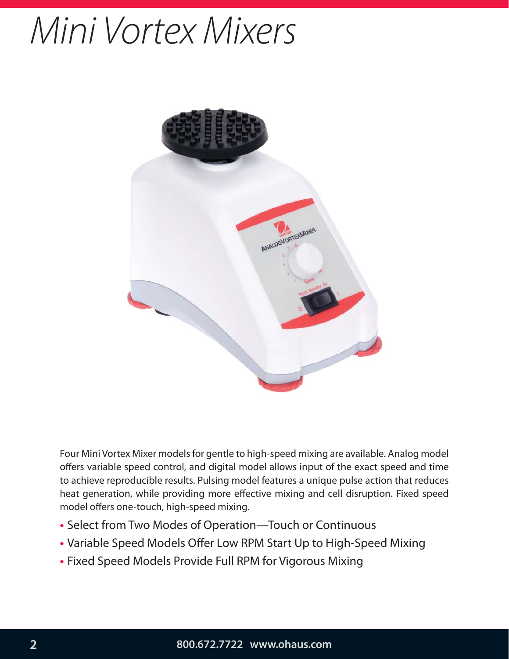# Mini Vortex Mixers



Four Mini Vortex Mixer models for gentle to high-speed mixing are available. Analog model offers variable speed control, and digital model allows input of the exact speed and time to achieve reproducible results. Pulsing model features a unique pulse action that reduces heat generation, while providing more effective mixing and cell disruption. Fixed speed model offers one-touch, high-speed mixing.

- Select from Two Modes of Operation—Touch or Continuous
- Variable Speed Models Offer Low RPM Start Up to High-Speed Mixing
- Fixed Speed Models Provide Full RPM for Vigorous Mixing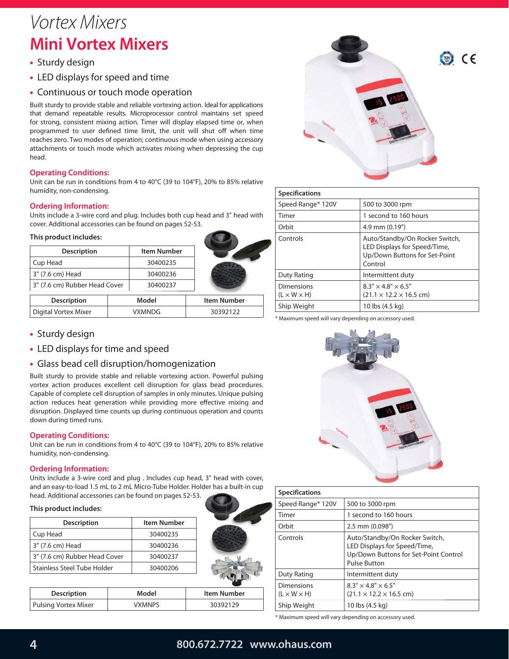### Vortex Mixers **Mini Vortex Mixers**

- Sturdy design
- LED displays for speed and time
- Continuous or touch mode operation

Built sturdy to provide stable and reliable vortexing action. Ideal for applications that demand repeatable results. Microprocessor control maintains set speed for strong, consistent mixing action. Timer will display elapsed time or, when programmed to user defined time limit, the unit will shut off when time reaches zero. Two modes of operation; continuous mode when using accessory attachments or touch mode which activates mixing when depressing the cup head.

#### **Operating Conditions:**

Unit can be run in conditions from 4 to 40°C (39 to 104°F), 20% to 85% relative humidity, non-condensing.

#### **Ordering Information:**

Units include a 3-wire cord and plug. Includes both cup head and 3" head with cover. Additional accessories can be found on pages 52-53.

#### **This product includes:**

| <b>Description</b>            | Item Number |
|-------------------------------|-------------|
| Cup Head                      | 30400235    |
| 3" (7.6 cm) Head              | 30400236    |
| 3" (7.6 cm) Rubber Head Cover | 30400237    |
| <b>Description</b>            | Model       |

Digital Vortex Mixer | VXMNDG | 30392122

| • Sturdy design |  |
|-----------------|--|
|                 |  |

- **•** LED displays for time and speed
- **•** Glass bead cell disruption/homogenization

Built sturdy to provide stable and reliable vortexing action. Powerful pulsing vortex action produces excellent cell disruption for glass bead procedures. Capable of complete cell disruption of samples in only minutes. Unique pulsing action reduces heat generation while providing more effective mixing and disruption. Displayed time counts up during continuous operation and counts down during timed runs.

#### **Operating Conditions:**

Unit can be run in conditions from 4 to 40°C (39 to 104°F), 20% to 85% relative humidity, non-condensing.

#### **Ordering Information:**

Units include a 3-wire cord and plug . Includes cup head, 3" head with cover, and an easy-to-load 1.5 mL to 2 mL Micro-Tube Holder. Holder has a built-in cup head. Additional accessories can be found on pages 52-53.

#### **This product includes:**

| <b>Description</b>            | Item Number |
|-------------------------------|-------------|
| Cup Head                      | 30400235    |
| 3" (7.6 cm) Head              | 30400236    |
| 3" (7.6 cm) Rubber Head Cover | 30400237    |
| Stainless Steel Tube Holder   | 30400206    |

| <b>Description</b>   | Model         | Item Number |
|----------------------|---------------|-------------|
| Pulsing Vortex Mixer | <b>VXMNPS</b> | 30392129    |



| <b>Specifications</b>                        |                                                                                                            |
|----------------------------------------------|------------------------------------------------------------------------------------------------------------|
| Speed Range* 120V                            | 500 to 3000 rpm                                                                                            |
| Timer                                        | 1 second to 160 hours                                                                                      |
| Orbit                                        | $4.9$ mm $(0.19")$                                                                                         |
| Controls                                     | Auto/Standby/On Rocker Switch,<br>LED Displays for Speed/Time,<br>Up/Down Buttons for Set-Point<br>Control |
| Duty Rating                                  | Intermittent duty                                                                                          |
| <b>Dimensions</b><br>$(L \times W \times H)$ | $8.3'' \times 4.8'' \times 6.5''$<br>$(21.1 \times 12.2 \times 16.5$ cm)                                   |
| Ship Weight                                  | 10 lbs (4.5 kg)                                                                                            |

\* Maximum speed will vary depending on accessory used.



| <b>Specifications</b>                        |                                                                                                                                |
|----------------------------------------------|--------------------------------------------------------------------------------------------------------------------------------|
| Speed Range* 120V                            | 500 to 3000 rpm                                                                                                                |
| Timer                                        | 1 second to 160 hours                                                                                                          |
| Orbit                                        | 2.5 mm (0.098")                                                                                                                |
| Controls                                     | Auto/Standby/On Rocker Switch,<br>LED Displays for Speed/Time,<br>Up/Down Buttons for Set-Point Control<br><b>Pulse Button</b> |
| Duty Rating                                  | Intermittent duty                                                                                                              |
| <b>Dimensions</b><br>$(L \times W \times H)$ | $8.3'' \times 4.8'' \times 6.5''$<br>$(21.1 \times 12.2 \times 16.5$ cm)                                                       |
| Ship Weight                                  | 10 lbs (4.5 kg)                                                                                                                |

\* Maximum speed will vary depending on accessory used.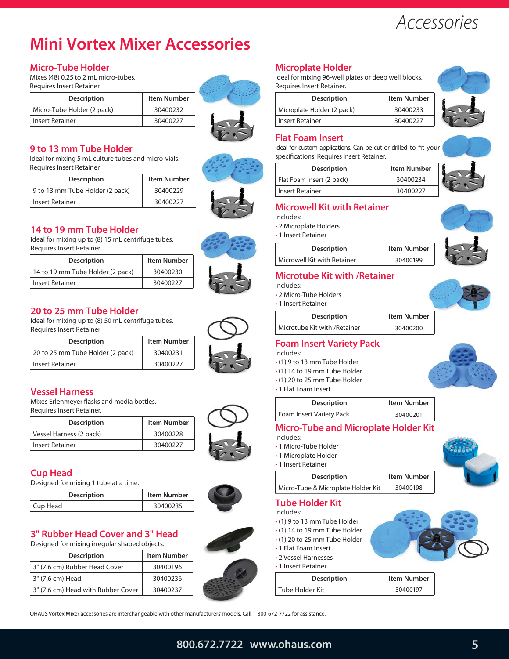## Accessories

### **Mini Vortex Mixer Accessories**

#### **Micro-Tube Holder**

Mixes (48) 0.25 to 2 mL micro-tubes. Requires Insert Retainer.

| <b>Description</b>         | <b>Item Number</b> |
|----------------------------|--------------------|
| Micro-Tube Holder (2 pack) | 30400232           |
| Insert Retainer            | 30400227           |



#### **9 to 13 mm Tube Holder**

Ideal for mixing 5 mL culture tubes and micro-vials. Requires Insert Retainer.

| <b>Description</b>              | <b>Item Number</b> |
|---------------------------------|--------------------|
| 9 to 13 mm Tube Holder (2 pack) | 30400229           |
| <b>Insert Retainer</b>          | 30400227           |

#### **14 to 19 mm Tube Holder**

Ideal for mixing up to (8) 15 mL centrifuge tubes. Requires Insert Retainer.

| <b>Description</b>               | <b>Item Number</b> |
|----------------------------------|--------------------|
| 14 to 19 mm Tube Holder (2 pack) | 30400230           |
| <b>Insert Retainer</b>           | 30400227           |

#### **20 to 25 mm Tube Holder**

Ideal for mixing up to (8) 50 mL centrifuge tubes. Requires Insert Retainer

| <b>Description</b>               | <b>Item Number</b> |
|----------------------------------|--------------------|
| 20 to 25 mm Tube Holder (2 pack) | 30400231           |
| Insert Retainer                  | 30400227           |

#### **Vessel Harness**

Mixes Erlenmeyer flasks and media bottles. Requires Insert Retainer.

| <b>Description</b>      | <b>Item Number</b> |
|-------------------------|--------------------|
| Vessel Harness (2 pack) | 30400228           |
| <b>Insert Retainer</b>  | 30400227           |

#### **Cup Head**

Designed for mixing 1 tube at a time.

| <b>Description</b> | <b>Item Number</b> |
|--------------------|--------------------|
| Cup Head           | 30400235           |

#### **3" Rubber Head Cover and 3" Head**

Designed for mixing irregular shaped objects.

| <b>Item Number</b> |
|--------------------|
| 30400196           |
| 30400236           |
| 30400237           |
|                    |

#### **Microplate Holder**

Ideal for mixing 96-well plates or deep well blocks. Requires Insert Retainer.

| <b>Description</b>         | <b>Item Number</b> |
|----------------------------|--------------------|
| Microplate Holder (2 pack) | 30400233           |
| Insert Retainer            | 30400227           |



#### **Flat Foam Insert**

Ideal for custom applications. Can be cut or drilled to fit your specifications. Requires Insert Retainer.

| <b>Description</b>        | <b>Item Number</b> |
|---------------------------|--------------------|
| Flat Foam Insert (2 pack) | 30400234           |
| <b>Insert Retainer</b>    | 30400227           |

#### **Microwell Kit with Retainer**

- Includes:
- 2 Microplate Holders
- 1 Insert Retainer

| <b>Description</b>          | <b>Item Number</b> |
|-----------------------------|--------------------|
| Microwell Kit with Retainer | 30400199           |

#### **Microtube Kit with /Retainer**

- Includes:
- 2 Micro-Tube Holders • 1 Insert Retainer

| <b>Description</b>            | <b>Item Number</b> |
|-------------------------------|--------------------|
| Microtube Kit with / Retainer | 30400200           |

#### **Foam Insert Variety Pack**

- Includes:
- (1) 9 to 13 mm Tube Holder
- (1) 14 to 19 mm Tube Holder
- (1) 20 to 25 mm Tube Holder
- 1 Flat Foam Insert

| <b>Description</b>       | <b>Item Number</b> |
|--------------------------|--------------------|
| Foam Insert Variety Pack | 30400201           |

#### **Micro-Tube and Microplate Holder Kit**

- Includes:
- 1 Micro-Tube Holder
- 1 Microplate Holder • 1 Insert Retainer

| ן ווואכו ג הכנסוווכו |             |
|----------------------|-------------|
| <b>Description</b>   | Item Number |
|                      |             |

Micro-Tube & Microplate Holder Kit | 30400198

|  |  | <b>Tube Holder Kit</b> |
|--|--|------------------------|

Includes:

- (1) 9 to 13 mm Tube Holder
- (1) 14 to 19 mm Tube Holder
- (1) 20 to 25 mm Tube Holder
- 1 Flat Foam Insert
- 2 Vessel Harnesses • 1 Insert Retainer
- **Description** Item Number Tube Holder Kit 30400197

OHAUS Vortex Mixer accessories are interchangeable with other manufacturers' models. Call 1-800-672-7722 for assistance.

#### **800.672.7722 www.ohaus.com 5**